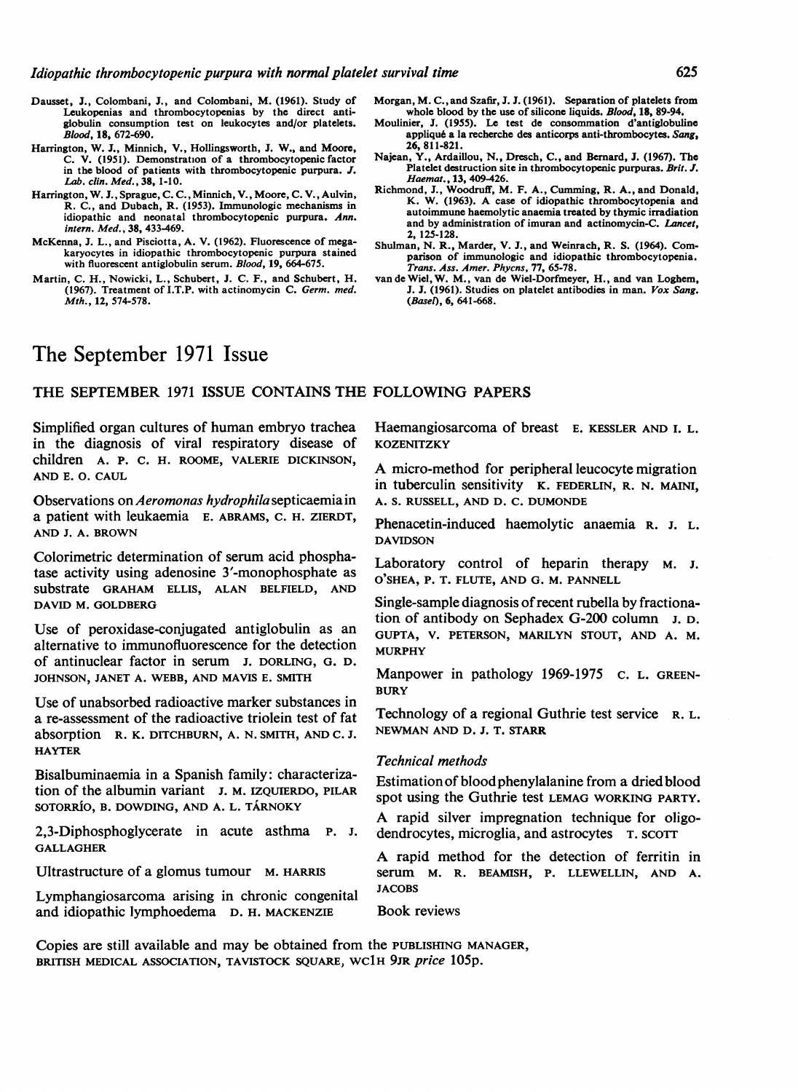- Dausset, J., Colombani, J., and Colombani, M. (1961). Study of Leukopenias and thrombocytopenias by the direct antiglobulin consumption test on leukocytes and/or platelets. Blood, 18, 672-690.
- Harrington, W. J., Minnich, V., Hollingsworth, J. W., and Moore, C. V. (1951). Demonstration of a thrombocytopenic factor in the blood of patients with thrombocytopenic purpura. J. Lab. clin. Med., 38, 1-10.
- Harrington, W. J., Sprague, C. C., Minnich, V., Moore, C. V., Aulvin, R. C., and Dubach, R. (1953). Immunologic mechanisms in idiopathic and neonatal thrombocytopenic purpura. Ann. intern. Med., 38, 433-469.
- McKenna, J. L., and Pisciotta, A. V. (1962). Fluorescence of megakaryocytes in idiopathic thrombocytopenic purpura stained with fluorescent antiglobulin serum. Blood, 19, 664-675.
- Martin, C. H., Nowicki, L., Schubert, J. C. F., and Schubert, H. (1967). Treatment of I.T.P. with actinomycin C. Germ. med. Mth., 12, 574-578.
- Morgan, M. C.,and Szafir, J. J. (1961). Separation of platelets from whole blood by the use of silicone liquids. Blood, 18, 89-94.
- Moulinier, J. (1955). Le test de consommation d'antiglobuline appliqu6 a la recherche des anticorps anti-thrombocytes. Sang, 26, 811-821.
- Najean, Y., Ardaillou, N., Dresch, C., and Bernard, J. (1967). The Platelet destruction site in thrombocytopenic purpuras. Brit. J. Haemat., 13, 409-426.
- Richmond, J., Woodruff, M. F. A., Cumming, R. A., and Donald, K. W. (1963). A case of idiopathic thrombocytopenia and autoimmune haemolytic anaemia treated by thymic irradiation and by administration of imuran and actinomycin-C. Lancet, 2, 125-128.
- Shulman, N. R., Marder, V. J., and Weinrach, R. S. (1964). Comparison of immunologic and idiopathic thrombocytopenia. Trans. Ass. Amer. Phycns, 77, 65-78.
- van de Wiel, W. M., van de Wiel-Dorfmeyer, H., and van Loghem, J. J. (1961). Studies on platelet antibodies in man. Vox Sang. (Basel), 6, 641-668.

# The September 1971 Issue

# THE SEPTEMBER <sup>1971</sup> ISSUE CONTAINS THE FOLLOWING PAPERS

Simplified organ cultures of human embryo trachea in the diagnosis of viral respiratory disease of children A. P. C. H. ROOME, VALERIE DICKINSON, AND E. 0. CAUL

Observations on Aeromonas hydrophila septicaemia in a patient with leukaemia E. ABRAMS, C. H. ZIERDT, AND J. A. BROWN

Colorimetric determination of serum acid phosphatase activity using adenosine 3'-monophosphate as substrate GRAHAM ELLIS, ALAN BELFIELD, AND DAVID M. GOLDBERG

Use of peroxidase-conjugated antiglobulin as an alternative to immunofluorescence for the detection of antinuclear factor in serum J. DORLING, G. D. JOHNSON, JANET A. WEBB, AND MAVIS E. SMITH

Use of unabsorbed radioactive marker substances in a re-assessment of the radioactive triolein test of fat absorption R. K. DITCHBURN, A. N. SMITH, AND C. J. HAYTER

Bisalbuminaemia in a Spanish family: characterization of the albumin variant J. M. IZQUIERDO, PILAR SOTORRÍO, B. DOWDING, AND A. L. TÁRNOKY

2,3-Diphosphoglycerate in acute asthma P. J. GALLAGHER

Ultrastructure of a glomus tumour M. HARRIS

Lymphangiosarcoma arising in chronic congenital and idiopathic lymphoedema D. H. MACKENZIE

Haemangiosarcoma of breast E. KESSLER AND I. L. **KOZENITZKY** 

A micro-method for peripheral leucocyte migration in tuberculin sensitivity K. FEDERLIN, R. N. MAINI, A. S. RUSSELL, AND D. C. DUMONDE

Phenacetin-induced haemolytic anaemia R. J. L. DAVIDSON

Laboratory control of heparin therapy M. J. O'SHEA, P. T. FLUTE, AND G. M. PANNELL

Single-sample diagnosis of recent rubella by fractionation of antibody on Sephadex G-200 column J. D. GUPTA, V. PETERSON, MARILYN STOUT, AND A. M. MURPHY

Manpower in pathology 1969-1975 C. L. GREEN-**BURY** 

Technology of a regional Guthrie test service R. L. NEWMAN AND D. J. T. STARR

# Technical methods

Estimation of bloodphenylalanine from a dried blood spot using the Guthrie test LEMAG WORKING PARTY.

A rapid silver impregnation technique for oligodendrocytes, microglia, and astrocytes T. SCOTT

A rapid method for the detection of ferritin in serum M. R. BEAMISH, P. LLEWELLIN, AND A. JACOBS

Book reviews

Copies are still available and may be obtained from the PUBLISHING MANAGER, BRITISH MEDICAL ASSOCIATION, TAVISTOCK SQUARE, WC1H 9JR price 105p.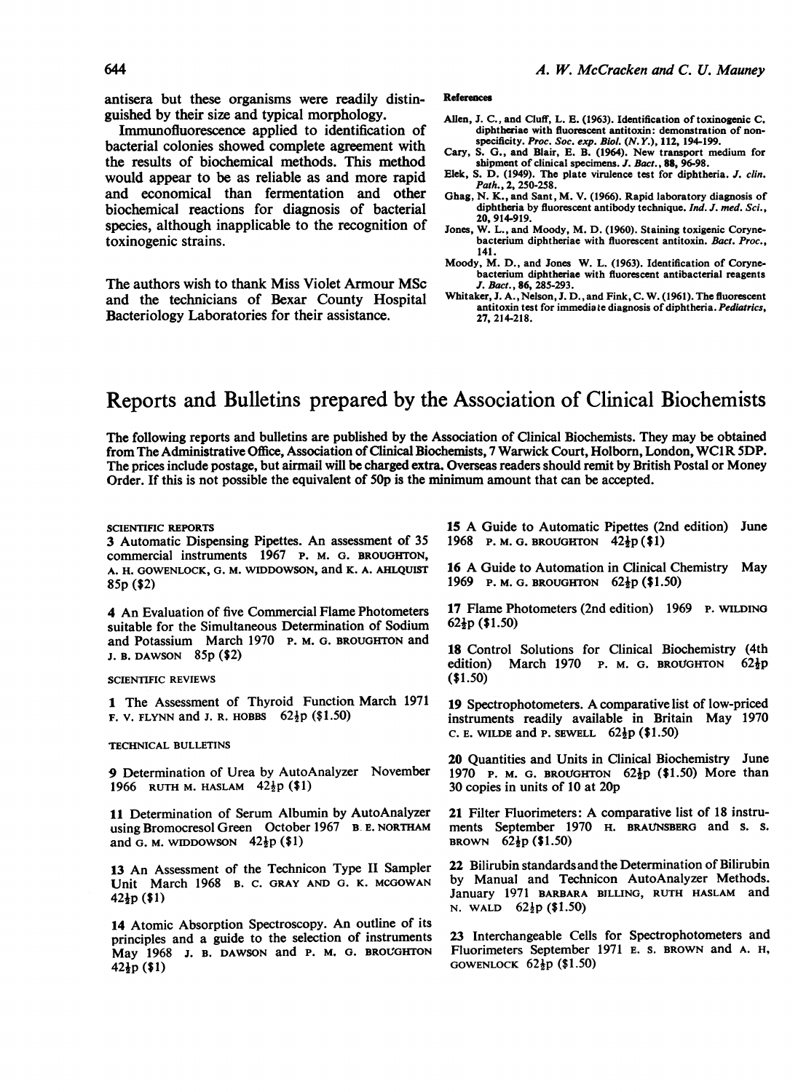antisera but these organisms were readily distinguished by their size and typical morphology.

Immunofluorescence applied to identification of bacterial colonies showed complete agreement with the results of biochemical methods. This method would appear to be as reliable as and more rapid and economical than fermentation and other biochemical reactions for diagnosis of bacterial species, although inapplicable to the recognition of toxinogenic strains.

The authors wish to thank Miss Violet Armour MSc and the technicians of Bexar County Hospital Bacteriology Laboratories for their assistance.

#### References

- Allen, J. C., and Cluff, L. E. (1963). Identification of toxinogenic C. diphtheriae with fluorescent antitoxin: demonstration of nonspecificity. Proc. Soc. exp. Biol. (N.Y.), 112, 194-199.
- Cary, S. G., and Blair, E. B. (1964). New transport medium for shipment of clinical specimens. J. Bact., 88, 96-98.
- Elek, S. D. (1949). The plate virulence test for diphtheria. J. clin. Path., 2, 250-258.
- Ghag, N. K., and Sant, M. V. (1966). Rapid laboratory diagnosis of diphtheria by fluorescent antibody technique. Ind. J. med. Sci., 20, 914-919.
- Jones, W. L., and Moody, M. D. (1960). Staining toxigenic Corynebacterium diphtheriae with fluorescent antitoxin. Bact. Proc., 141.
- Moody, M. D., and Jones W. L. (1963). Identification of Corynebacterium diphtheriae with fluorescent antibacterial reagents J. Bact., 86, 285-293.
- Whitaker, J. A., Nelson, J. D., and Fink, C. W. (1961). The fluorescent antitoxin test for immedia te diagnosis of diphtheria. Pediatrics, 27, 214-218.

# Reports and Bulletins prepared by the Association of Clinical Biochemists

The following reports and bulletins are published by the Association of Clinical Biochemists. They may be obtained from The Administrative Office, Association of Clinical Biochemists, <sup>7</sup> Warwick Court, Holborn, London, WCIR 5DP. The prices include postage, but airmail will be charged extra. Overseas readers should remit by British Postal or Money Order. If this is not possible the equivalent of 50p is the minimum amount that can be accepted.

#### SCIENTIFIC REPORTS

3 Automatic Dispensing Pipettes. An assessment of 35 commercial instruments 1967 P. M. G. BROUGHTON, A. H. GOWENLOCK, G. M. WIDDOWSON, and K. A. AHLQUIST 85p (\$2)

4 An Evaluation of five Commercial Flame Photometers suitable for the Simultaneous Determination of Sodium and Potassium March 1970 P. M. G. BROUGHTON and J. B. DAWSON 85p (\$2)

### SCIENTIFIC REVIEWS

1 The Assessment of Thyroid Function March 1971 **F. V. FLYNN and J. R. HOBBS**  $62\frac{1}{2}p$  (\$1.50)

### TECHNICAL BULLETINS

9 Determination of Urea by AutoAnalyzer November 1966 RUTH M. HASLAM  $42\frac{1}{2}p$  (\$1)

11 Determination of Serum Albumin by AutoAnalyzer using Bromocresol Green October 1967 B. E. NORTHAM and G. M. WIDDOWSON  $42\frac{1}{2}p$  (\$1)

13 An Assessment of the Technicon Type II Sampler Unit March 1968 B. C. GRAY AND G. K. MCGOWAN  $42\frac{1}{2}p(1)$ 

<sup>14</sup> Atomic Absorption Spectroscopy. An outline of its principles and a guide to the selection of instruments May 1968 J. B. DAWSON and P. M. G. BROUGHTON 42jp (\$1)

<sup>15</sup> A Guide to Automatic Pipettes (2nd edition) June 1968 P. M. G. BROUGHTON  $42\frac{1}{2}p$  (\$1)

<sup>16</sup> A Guide to Automation in Clinical Chemistry May 1969 P. M. G. BROUGHTON  $62\frac{1}{2}p$  (\$1.50)

17 Flame Photometers (2nd edition) 1969 P. WILDING  $62\frac{1}{2}p(1.50)$ 

18 Control Solutions for Clinical Biochemistry (4th edition) March 1970 P. M. G. BROUGHTON  $62\frac{1}{2}p$ (\$1.50)

<sup>19</sup> Spectrophotometers. A comparative list of low-priced instruments readily available in Britain May 1970 C. E. WILDE and P. SEWELL  $62\frac{1}{2}p$  (\$1.50)

20 Quantities and Units in Clinical Biochemistry June 1970 P. M. G. BROUGHTON  $62\frac{1}{2}p$  (\$1.50) More than 30 copies in units of 10 at 20p

<sup>21</sup> Filter Fluorimeters: A comparative list of <sup>18</sup> instruments September 1970 H. BRAUNSBERG and s. s. BROWN  $62\frac{1}{2}p(1.50)$ 

22 Bilirubin standardsandthe Determination of Bilirubin by Manual and Technicon AutoAnalyzer Methods. January 1971 BARBARA BILLING, RUTH HASLAM and N. WALD  $62\frac{1}{2}p$  (\$1.50)

23 Interchangeable Cells for Spectrophotometers and Fluorimeters September <sup>1971</sup> E. S. BROWN and A. H, GOWENLOCK  $62\frac{1}{2}p$  (\$1.50)

# 644